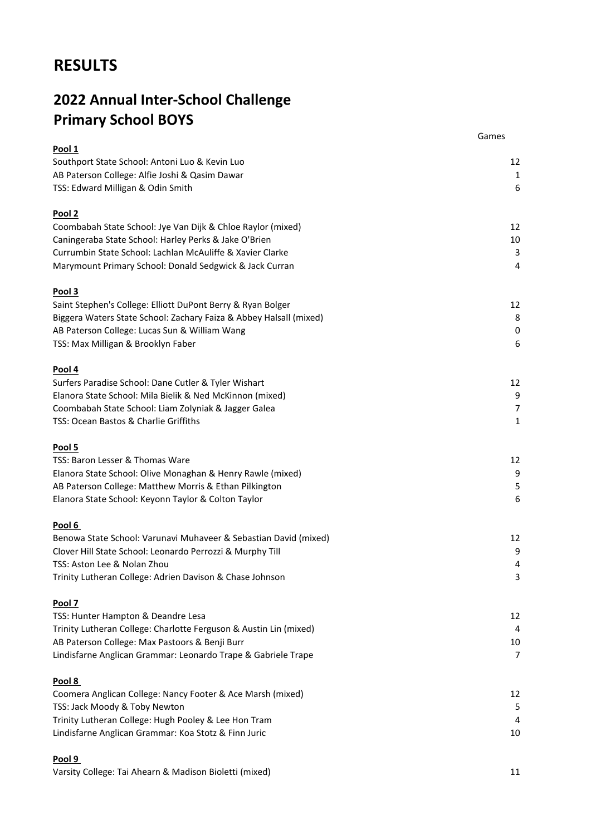# **RESULTS**

# **2022 Annual Inter-School Challenge Primary School BOYS**

|                                                                    | Games          |
|--------------------------------------------------------------------|----------------|
| Pool 1                                                             |                |
| Southport State School: Antoni Luo & Kevin Luo                     | 12             |
| AB Paterson College: Alfie Joshi & Qasim Dawar                     | 1              |
| TSS: Edward Milligan & Odin Smith                                  | $6\,$          |
| Pool <sub>2</sub>                                                  |                |
| Coombabah State School: Jye Van Dijk & Chloe Raylor (mixed)        | 12             |
| Caningeraba State School: Harley Perks & Jake O'Brien              | 10             |
| Currumbin State School: Lachlan McAuliffe & Xavier Clarke          | 3              |
| Marymount Primary School: Donald Sedgwick & Jack Curran            | $\overline{4}$ |
| Pool 3                                                             |                |
| Saint Stephen's College: Elliott DuPont Berry & Ryan Bolger        | 12             |
| Biggera Waters State School: Zachary Faiza & Abbey Halsall (mixed) | 8              |
| AB Paterson College: Lucas Sun & William Wang                      | $\pmb{0}$      |
| TSS: Max Milligan & Brooklyn Faber                                 | 6              |
| Pool 4                                                             |                |
| Surfers Paradise School: Dane Cutler & Tyler Wishart               | 12             |
| Elanora State School: Mila Bielik & Ned McKinnon (mixed)           | 9              |
| Coombabah State School: Liam Zolyniak & Jagger Galea               | 7              |
| TSS: Ocean Bastos & Charlie Griffiths                              | 1              |
| Pool 5                                                             |                |
| TSS: Baron Lesser & Thomas Ware                                    | 12             |
| Elanora State School: Olive Monaghan & Henry Rawle (mixed)         | 9              |
| AB Paterson College: Matthew Morris & Ethan Pilkington             | 5              |
| Elanora State School: Keyonn Taylor & Colton Taylor                | 6              |
|                                                                    |                |
| Pool 6                                                             |                |
| Benowa State School: Varunavi Muhaveer & Sebastian David (mixed)   | 12             |
| Clover Hill State School: Leonardo Perrozzi & Murphy Till          | 9              |
| TSS: Aston Lee & Nolan Zhou                                        | 4              |
| Trinity Lutheran College: Adrien Davison & Chase Johnson           | 3              |
| Pool 7                                                             |                |
| TSS: Hunter Hampton & Deandre Lesa                                 | 12             |
| Trinity Lutheran College: Charlotte Ferguson & Austin Lin (mixed)  | 4              |
| AB Paterson College: Max Pastoors & Benji Burr                     | 10             |
| Lindisfarne Anglican Grammar: Leonardo Trape & Gabriele Trape      | 7              |
| Pool 8                                                             |                |
| Coomera Anglican College: Nancy Footer & Ace Marsh (mixed)         | 12             |
| TSS: Jack Moody & Toby Newton                                      | 5              |
| Trinity Lutheran College: Hugh Pooley & Lee Hon Tram               | 4              |
| Lindisfarne Anglican Grammar: Koa Stotz & Finn Juric               | 10             |
| Pool 9                                                             |                |
|                                                                    |                |

Varsity College: Tai Ahearn & Madison Bioletti (mixed) 11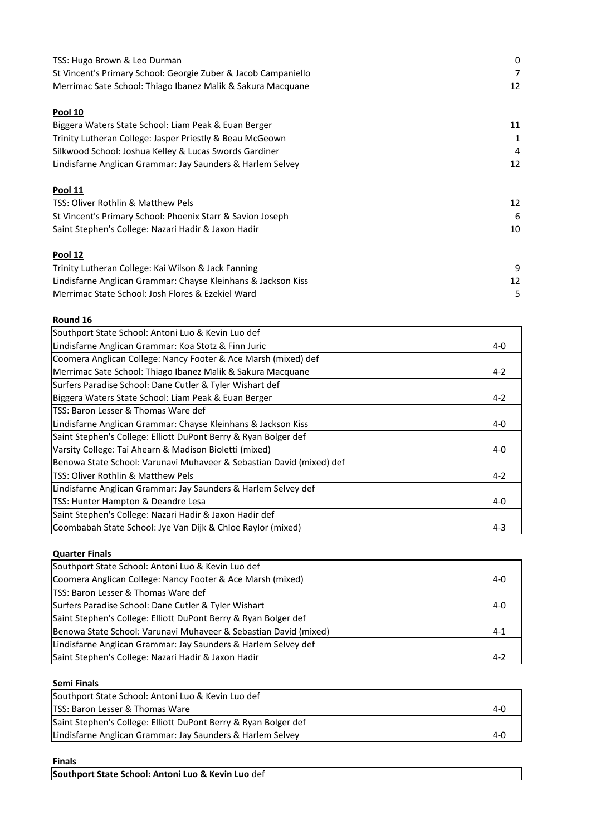| TSS: Hugo Brown & Leo Durman                                   | 0  |
|----------------------------------------------------------------|----|
| St Vincent's Primary School: Georgie Zuber & Jacob Campaniello | 7  |
| Merrimac Sate School: Thiago Ibanez Malik & Sakura Macquane    | 12 |
| <b>Pool 10</b>                                                 |    |
| Biggera Waters State School: Liam Peak & Euan Berger           | 11 |
| Trinity Lutheran College: Jasper Priestly & Beau McGeown       | 1  |
| Silkwood School: Joshua Kelley & Lucas Swords Gardiner         | 4  |
| Lindisfarne Anglican Grammar: Jay Saunders & Harlem Selvey     | 12 |
| Pool 11                                                        |    |
| TSS: Oliver Rothlin & Matthew Pels                             | 12 |
| St Vincent's Primary School: Phoenix Starr & Savion Joseph     | 6  |
| Saint Stephen's College: Nazari Hadir & Jaxon Hadir            | 10 |
| <b>Pool 12</b>                                                 |    |
| Trinity Lutheran College: Kai Wilson & Jack Fanning            | 9  |
| Lindisfarne Anglican Grammar: Chayse Kleinhans & Jackson Kiss  | 12 |
| Merrimac State School: Josh Flores & Ezekiel Ward              | 5  |

#### **Round 16**

| Southport State School: Antoni Luo & Kevin Luo def                   |         |
|----------------------------------------------------------------------|---------|
| Lindisfarne Anglican Grammar: Koa Stotz & Finn Juric                 | $4-0$   |
| Coomera Anglican College: Nancy Footer & Ace Marsh (mixed) def       |         |
| Merrimac Sate School: Thiago Ibanez Malik & Sakura Macquane          | $4 - 2$ |
| Surfers Paradise School: Dane Cutler & Tyler Wishart def             |         |
| Biggera Waters State School: Liam Peak & Euan Berger                 | $4 - 2$ |
| TSS: Baron Lesser & Thomas Ware def                                  |         |
| Lindisfarne Anglican Grammar: Chayse Kleinhans & Jackson Kiss        | $4 - 0$ |
| Saint Stephen's College: Elliott DuPont Berry & Ryan Bolger def      |         |
| Varsity College: Tai Ahearn & Madison Bioletti (mixed)               | $4 - 0$ |
| Benowa State School: Varunavi Muhaveer & Sebastian David (mixed) def |         |
| <b>TSS: Oliver Rothlin &amp; Matthew Pels</b>                        | $4 - 2$ |
| Lindisfarne Anglican Grammar: Jay Saunders & Harlem Selvey def       |         |
| TSS: Hunter Hampton & Deandre Lesa                                   | $4 - 0$ |
| Saint Stephen's College: Nazari Hadir & Jaxon Hadir def              |         |
| Coombabah State School: Jye Van Dijk & Chloe Raylor (mixed)          | $4 - 3$ |

### **Quarter Finals**

| Southport State School: Antoni Luo & Kevin Luo def               |         |
|------------------------------------------------------------------|---------|
| Coomera Anglican College: Nancy Footer & Ace Marsh (mixed)       | $4-0$   |
| <b>TSS: Baron Lesser &amp; Thomas Ware def</b>                   |         |
| Surfers Paradise School: Dane Cutler & Tyler Wishart             | $4-0$   |
| Saint Stephen's College: Elliott DuPont Berry & Ryan Bolger def  |         |
| Benowa State School: Varunavi Muhaveer & Sebastian David (mixed) | $4 - 1$ |
| Lindisfarne Anglican Grammar: Jay Saunders & Harlem Selvey def   |         |
| Saint Stephen's College: Nazari Hadir & Jaxon Hadir              | $4 - 2$ |

### **Semi Finals**

| Southport State School: Antoni Luo & Kevin Luo def              |     |
|-----------------------------------------------------------------|-----|
| <b>ITSS: Baron Lesser &amp; Thomas Ware</b>                     | 4-በ |
| Saint Stephen's College: Elliott DuPont Berry & Ryan Bolger def |     |
| Lindisfarne Anglican Grammar: Jay Saunders & Harlem Selvey      | 4-0 |

#### **Finals**

 $\mathbf l$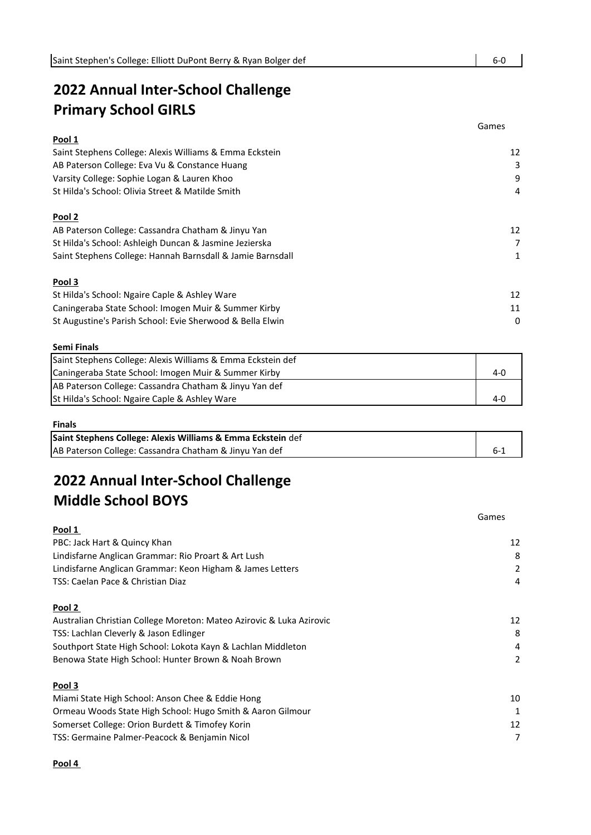# **2022 Annual Inter-School Challenge Primary School GIRLS**

|                                                            | Games |
|------------------------------------------------------------|-------|
| Pool 1                                                     |       |
| Saint Stephens College: Alexis Williams & Emma Eckstein    | 12    |
| AB Paterson College: Eva Vu & Constance Huang              | 3     |
| Varsity College: Sophie Logan & Lauren Khoo                | 9     |
| St Hilda's School: Olivia Street & Matilde Smith           | 4     |
| Pool 2                                                     |       |
| AB Paterson College: Cassandra Chatham & Jinyu Yan         | 12    |
| St Hilda's School: Ashleigh Duncan & Jasmine Jezierska     | 7     |
| Saint Stephens College: Hannah Barnsdall & Jamie Barnsdall |       |
| Pool 3                                                     |       |
| St Hilda's School: Ngaire Caple & Ashley Ware              | 12    |
| Caningeraba State School: Imogen Muir & Summer Kirby       | 11    |
| St Augustine's Parish School: Evie Sherwood & Bella Elwin  | 0     |

#### **Semi Finals**

| Saint Stephens College: Alexis Williams & Emma Eckstein def       |         |
|-------------------------------------------------------------------|---------|
| Caningeraba State School: Imogen Muir & Summer Kirby              | $4 - 0$ |
| <b>AB Paterson College: Cassandra Chatham &amp; Jinyu Yan def</b> |         |
| <b>St Hilda's School: Ngaire Caple &amp; Ashley Ware</b>          | 4-0     |

#### **Finals**

| Saint Stephens College: Alexis Williams & Emma Eckstein def |  |
|-------------------------------------------------------------|--|
| AB Paterson College: Cassandra Chatham & Jinyu Yan def      |  |

# **2022 Annual Inter-School Challenge Middle School BOYS**

|                                                                      | Games |
|----------------------------------------------------------------------|-------|
| Pool 1                                                               |       |
| PBC: Jack Hart & Quincy Khan                                         | 12    |
| Lindisfarne Anglican Grammar: Rio Proart & Art Lush                  | 8     |
| Lindisfarne Anglican Grammar: Keon Higham & James Letters            | 2     |
| TSS: Caelan Pace & Christian Diaz                                    | 4     |
| Pool 2                                                               |       |
| Australian Christian College Moreton: Mateo Azirovic & Luka Azirovic | 12    |
| TSS: Lachlan Cleverly & Jason Edlinger                               | 8     |
| Southport State High School: Lokota Kayn & Lachlan Middleton         | 4     |
| Benowa State High School: Hunter Brown & Noah Brown                  | 2     |
| Pool 3                                                               |       |
| Miami State High School: Anson Chee & Eddie Hong                     | 10    |
| Ormeau Woods State High School: Hugo Smith & Aaron Gilmour           | 1     |
| Somerset College: Orion Burdett & Timofey Korin                      | 12    |
| TSS: Germaine Palmer-Peacock & Benjamin Nicol                        | 7     |

#### **Pool 4**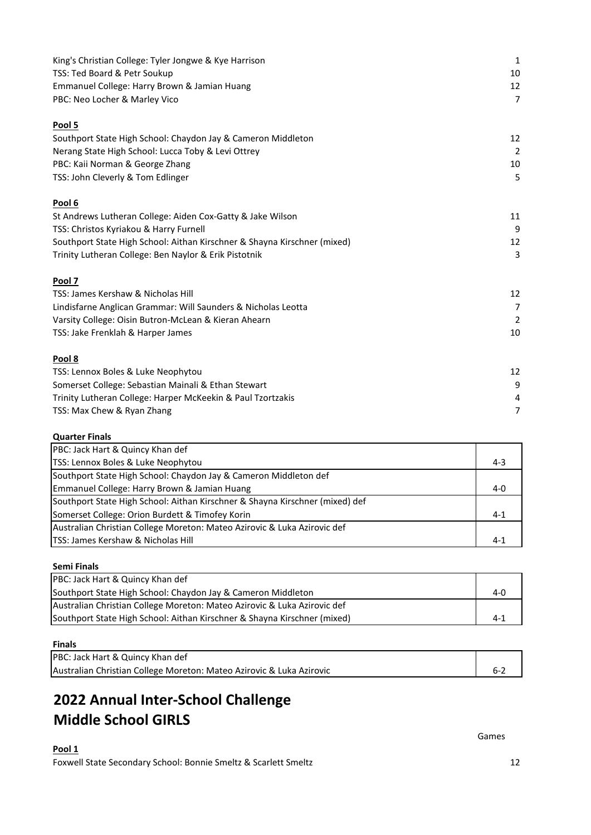| King's Christian College: Tyler Jongwe & Kye Harrison                    | $\mathbf{1}$   |
|--------------------------------------------------------------------------|----------------|
| TSS: Ted Board & Petr Soukup                                             | 10             |
| Emmanuel College: Harry Brown & Jamian Huang                             | 12             |
| PBC: Neo Locher & Marley Vico                                            | $\overline{7}$ |
| Pool 5                                                                   |                |
| Southport State High School: Chaydon Jay & Cameron Middleton             | 12             |
| Nerang State High School: Lucca Toby & Levi Ottrey                       | $\overline{2}$ |
| PBC: Kaii Norman & George Zhang                                          | 10             |
| TSS: John Cleverly & Tom Edlinger                                        | 5              |
| Pool 6                                                                   |                |
| St Andrews Lutheran College: Aiden Cox-Gatty & Jake Wilson               | 11             |
| TSS: Christos Kyriakou & Harry Furnell                                   | 9              |
| Southport State High School: Aithan Kirschner & Shayna Kirschner (mixed) | 12             |
| Trinity Lutheran College: Ben Naylor & Erik Pistotnik                    | 3              |
| Pool 7                                                                   |                |
| TSS: James Kershaw & Nicholas Hill                                       | 12             |
| Lindisfarne Anglican Grammar: Will Saunders & Nicholas Leotta            | $\overline{7}$ |
| Varsity College: Oisin Butron-McLean & Kieran Ahearn                     | $\overline{2}$ |
| TSS: Jake Frenklah & Harper James                                        | 10             |
| Pool 8                                                                   |                |
| TSS: Lennox Boles & Luke Neophytou                                       | 12             |
| Somerset College: Sebastian Mainali & Ethan Stewart                      | 9              |
| Trinity Lutheran College: Harper McKeekin & Paul Tzortzakis              | 4              |
| TSS: Max Chew & Ryan Zhang                                               | 7              |
|                                                                          |                |

## **Quarter Finals**

| PBC: Jack Hart & Quincy Khan def                                             |             |
|------------------------------------------------------------------------------|-------------|
| TSS: Lennox Boles & Luke Neophytou                                           | $4 - 3$     |
| Southport State High School: Chaydon Jay & Cameron Middleton def             |             |
| Emmanuel College: Harry Brown & Jamian Huang                                 | 4- $\Omega$ |
| Southport State High School: Aithan Kirschner & Shayna Kirschner (mixed) def |             |
| Somerset College: Orion Burdett & Timofey Korin                              | $4 - 1$     |
| Australian Christian College Moreton: Mateo Azirovic & Luka Azirovic def     |             |
| <b>ITSS: James Kershaw &amp; Nicholas Hill</b>                               | $4 - 1$     |

### **Semi Finals**

| PBC: Jack Hart & Quincy Khan def                                         |         |
|--------------------------------------------------------------------------|---------|
| Southport State High School: Chaydon Jay & Cameron Middleton             | $4 - 0$ |
| Australian Christian College Moreton: Mateo Azirovic & Luka Azirovic def |         |
| Southport State High School: Aithan Kirschner & Shayna Kirschner (mixed) | $4-1$   |

### **Finals**

| PBC: Jack Hart & Quincy Khan def                                     |         |
|----------------------------------------------------------------------|---------|
| Australian Christian College Moreton: Mateo Azirovic & Luka Azirovic | $6 - 2$ |

# **2022 Annual Inter-School Challenge Middle School GIRLS**

## **Pool 1** Foxwell State Secondary School: Bonnie Smeltz & Scarlett Smeltz 12

Games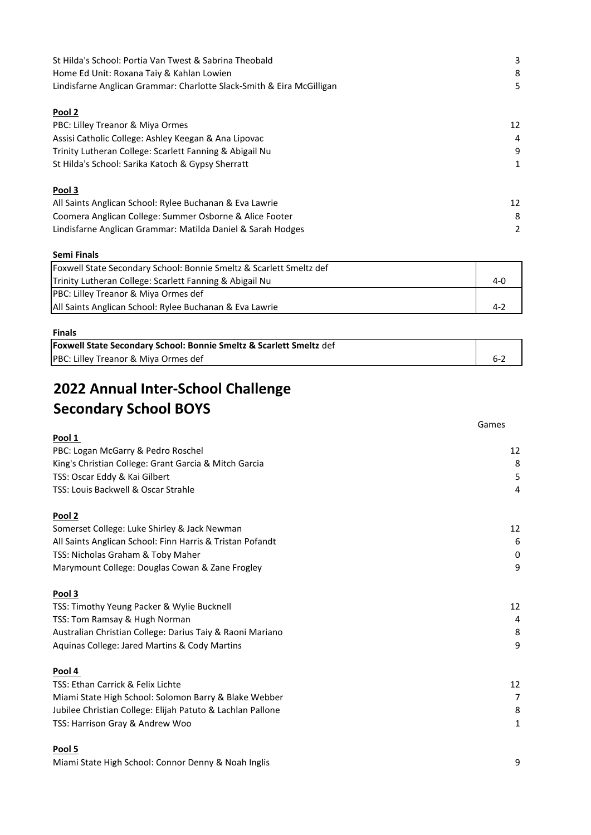| St Hilda's School: Portia Van Twest & Sabrina Theobald                | 3  |
|-----------------------------------------------------------------------|----|
| Home Ed Unit: Roxana Taiy & Kahlan Lowien                             | 8  |
| Lindisfarne Anglican Grammar: Charlotte Slack-Smith & Eira McGilligan | 5  |
| Pool 2                                                                |    |
| PBC: Lilley Treanor & Miya Ormes                                      | 12 |
| Assisi Catholic College: Ashley Keegan & Ana Lipovac                  | 4  |
| Trinity Lutheran College: Scarlett Fanning & Abigail Nu               | g  |
| St Hilda's School: Sarika Katoch & Gypsy Sherratt                     | 1  |
| Pool 3                                                                |    |
| All Saints Anglican School: Rylee Buchanan & Eva Lawrie               | 12 |
| Coomera Anglican College: Summer Osborne & Alice Footer               | 8  |
| Lindisfarne Anglican Grammar: Matilda Daniel & Sarah Hodges           | 2  |

#### **Semi Finals**

| Trinity Lutheran College: Scarlett Fanning & Abigail Nu |  |
|---------------------------------------------------------|--|
| PBC: Lilley Treanor & Miya Ormes def                    |  |
| All Saints Anglican School: Rylee Buchanan & Eva Lawrie |  |

### **Finals**

| <b>Foxwell State Secondary School: Bonnie Smeltz &amp; Scarlett Smeltz</b> def |  |
|--------------------------------------------------------------------------------|--|
| PBC: Lilley Treanor & Miya Ormes def                                           |  |

# **2022 Annual Inter-School Challenge Secondary School BOYS**

|                                                            | Games          |
|------------------------------------------------------------|----------------|
| Pool 1                                                     |                |
| PBC: Logan McGarry & Pedro Roschel                         | 12             |
| King's Christian College: Grant Garcia & Mitch Garcia      | 8              |
| TSS: Oscar Eddy & Kai Gilbert                              | 5              |
| TSS: Louis Backwell & Oscar Strahle                        | $\overline{4}$ |
| Pool 2                                                     |                |
| Somerset College: Luke Shirley & Jack Newman               | 12             |
| All Saints Anglican School: Finn Harris & Tristan Pofandt  | 6              |
| TSS: Nicholas Graham & Toby Maher                          | 0              |
| Marymount College: Douglas Cowan & Zane Frogley            | 9              |
| Pool 3                                                     |                |
| TSS: Timothy Yeung Packer & Wylie Bucknell                 | 12             |
| TSS: Tom Ramsay & Hugh Norman                              | $\overline{4}$ |
| Australian Christian College: Darius Taiy & Raoni Mariano  | 8              |
| Aquinas College: Jared Martins & Cody Martins              | 9              |
| Pool 4                                                     |                |
| TSS: Ethan Carrick & Felix Lichte                          | 12             |
| Miami State High School: Solomon Barry & Blake Webber      | $\overline{7}$ |
| Jubilee Christian College: Elijah Patuto & Lachlan Pallone | 8              |
| TSS: Harrison Gray & Andrew Woo                            | 1              |
| Pool 5                                                     |                |

Miami State High School: Connor Denny & Noah Inglis 9